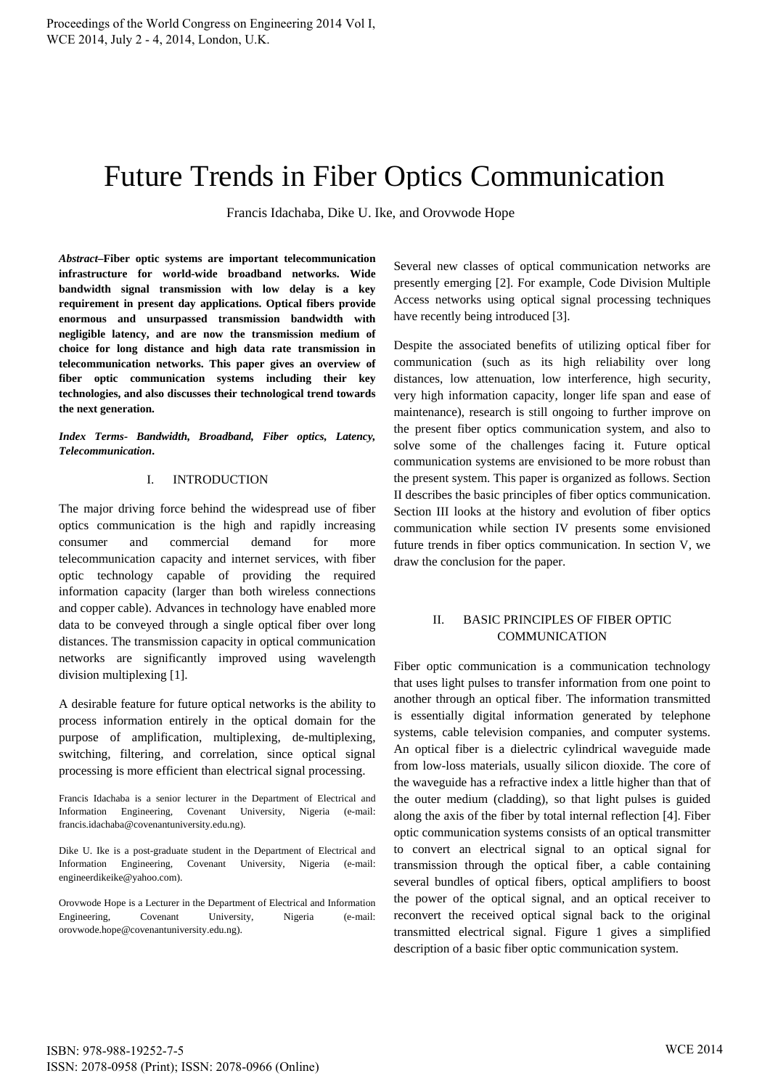# Future Trends in Fiber Optics Communication

Francis Idachaba, Dike U. Ike, and Orovwode Hope

*Abstract***–Fiber optic systems are important telecommunication infrastructure for world-wide broadband networks. Wide bandwidth signal transmission with low delay is a key requirement in present day applications. Optical fibers provide enormous and unsurpassed transmission bandwidth with negligible latency, and are now the transmission medium of choice for long distance and high data rate transmission in telecommunication networks. This paper gives an overview of fiber optic communication systems including their key technologies, and also discusses their technological trend towards the next generation.** 

*Index Terms- Bandwidth, Broadband, Fiber optics, Latency, Telecommunication***.** 

#### I. INTRODUCTION

The major driving force behind the widespread use of fiber optics communication is the high and rapidly increasing consumer and commercial demand for more telecommunication capacity and internet services, with fiber optic technology capable of providing the required information capacity (larger than both wireless connections and copper cable). Advances in technology have enabled more data to be conveyed through a single optical fiber over long distances. The transmission capacity in optical communication networks are significantly improved using wavelength division multiplexing [1].

A desirable feature for future optical networks is the ability to process information entirely in the optical domain for the purpose of amplification, multiplexing, de-multiplexing, switching, filtering, and correlation, since optical signal processing is more efficient than electrical signal processing.

Francis Idachaba is a senior lecturer in the Department of Electrical and Information Engineering, Covenant University, Nigeria (e-mail: francis.idachaba@covenantuniversity.edu.ng).

Dike U. Ike is a post-graduate student in the Department of Electrical and Information Engineering, Covenant University, Nigeria (e-mail: engineerdikeike@yahoo.com).

Orovwode Hope is a Lecturer in the Department of Electrical and Information Engineering, Covenant University, Nigeria (e-mail: orovwode.hope@covenantuniversity.edu.ng).

Several new classes of optical communication networks are presently emerging [2]. For example, Code Division Multiple Access networks using optical signal processing techniques have recently being introduced [3].

Despite the associated benefits of utilizing optical fiber for communication (such as its high reliability over long distances, low attenuation, low interference, high security, very high information capacity, longer life span and ease of maintenance), research is still ongoing to further improve on the present fiber optics communication system, and also to solve some of the challenges facing it. Future optical communication systems are envisioned to be more robust than the present system. This paper is organized as follows. Section II describes the basic principles of fiber optics communication. Section III looks at the history and evolution of fiber optics communication while section IV presents some envisioned future trends in fiber optics communication. In section V, we draw the conclusion for the paper.

## II. BASIC PRINCIPLES OF FIBER OPTIC **COMMUNICATION**

Fiber optic communication is a communication technology that uses light pulses to transfer information from one point to another through an optical fiber. The information transmitted is essentially digital information generated by telephone systems, cable television companies, and computer systems. An optical fiber is a dielectric cylindrical waveguide made from low-loss materials, usually silicon dioxide. The core of the waveguide has a refractive index a little higher than that of the outer medium (cladding), so that light pulses is guided along the axis of the fiber by total internal reflection [4]. Fiber optic communication systems consists of an optical transmitter to convert an electrical signal to an optical signal for transmission through the optical fiber, a cable containing several bundles of optical fibers, optical amplifiers to boost the power of the optical signal, and an optical receiver to reconvert the received optical signal back to the original transmitted electrical signal. Figure 1 gives a simplified description of a basic fiber optic communication system.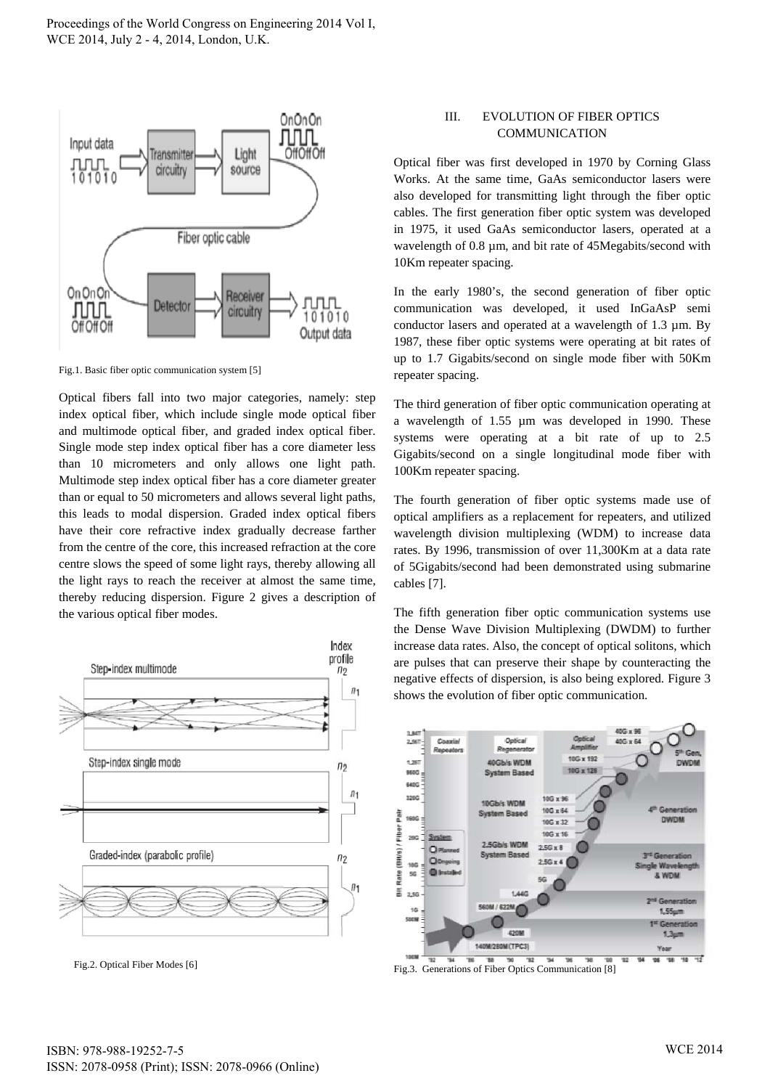

Fig.1. Basic fiber optic communication system [5]

Optical fibers fall into two major categories, namely: step index optical fiber, which include single mode optical fiber and multimode optical fiber, and graded index optical fiber. Single mode step index optical fiber has a core diameter less than 10 micrometers and only allows one light path. Multimode step index optical fiber has a core diameter greater than or equal to 50 micrometers and allows several light paths, this leads to modal dispersion. Graded index optical fibers have their core refractive index gradually decrease farther from the centre of the core, this increased refraction at the core centre slows the speed of some light rays, thereby allowing all the light rays to reach the receiver at almost the same time, thereby reducing dispersion. Figure 2 gives a description of the various optical fiber modes.



Fig.2. Optical Fiber Modes [6]

#### III. EVOLUTION OF FIBER OPTICS **COMMUNICATION**

Optical fiber was first developed in 1970 by Corning Glass Works. At the same time, GaAs semiconductor lasers were also developed for transmitting light through the fiber optic cables. The first generation fiber optic system was developed in 1975, it used GaAs semiconductor lasers, operated at a wavelength of 0.8  $\mu$ m, and bit rate of 45Megabits/second with 10Km repeater spacing.

In the early 1980's, the second generation of fiber optic communication was developed, it used InGaAsP semi conductor lasers and operated at a wavelength of 1.3 µm. By 1987, these fiber optic systems were operating at bit rates of up to 1.7 Gigabits/second on single mode fiber with 50Km repeater spacing.

The third generation of fiber optic communication operating at a wavelength of 1.55 µm was developed in 1990. These systems were operating at a bit rate of up to 2.5 Gigabits/second on a single longitudinal mode fiber with 100Km repeater spacing.

The fourth generation of fiber optic systems made use of optical amplifiers as a replacement for repeaters, and utilized wavelength division multiplexing (WDM) to increase data rates. By 1996, transmission of over 11,300Km at a data rate of 5Gigabits/second had been demonstrated using submarine cables [7].

The fifth generation fiber optic communication systems use the Dense Wave Division Multiplexing (DWDM) to further increase data rates. Also, the concept of optical solitons, which are pulses that can preserve their shape by counteracting the negative effects of dispersion, is also being explored. Figure 3 shows the evolution of fiber optic communication.



Fig.3. Generations of Fiber Optics Communication [8]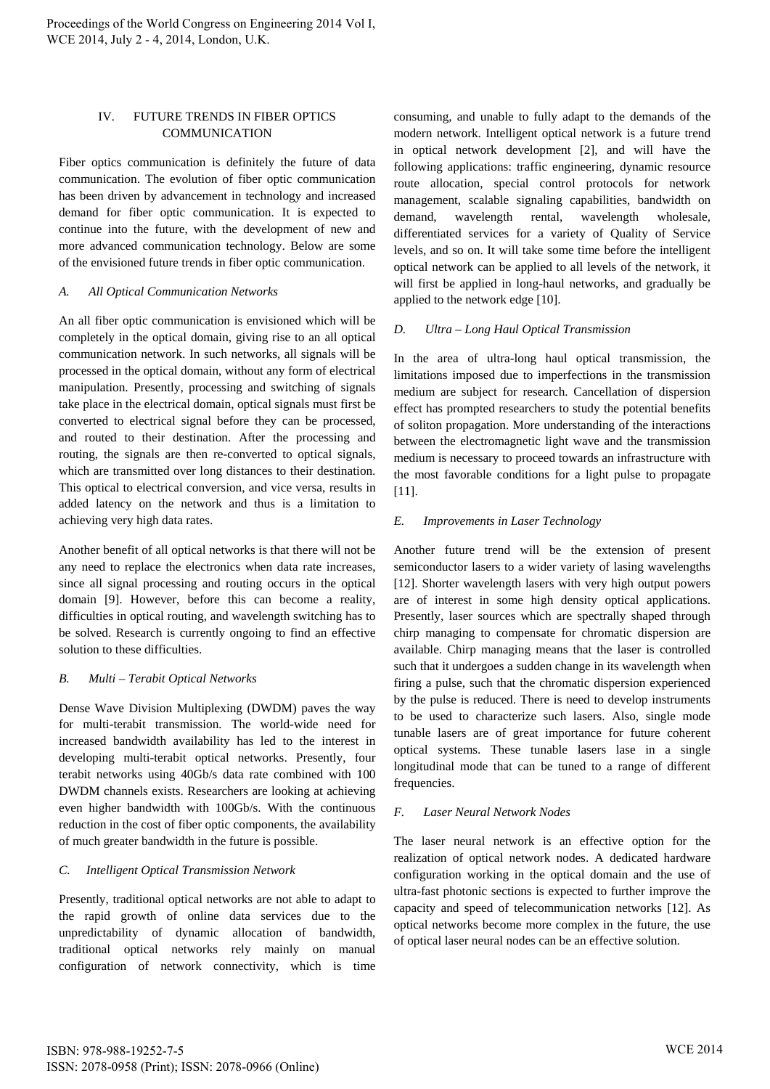## IV. FUTURE TRENDS IN FIBER OPTICS COMMUNICATION

Fiber optics communication is definitely the future of data communication. The evolution of fiber optic communication has been driven by advancement in technology and increased demand for fiber optic communication. It is expected to continue into the future, with the development of new and more advanced communication technology. Below are some of the envisioned future trends in fiber optic communication.

## *A. All Optical Communication Networks*

An all fiber optic communication is envisioned which will be completely in the optical domain, giving rise to an all optical communication network. In such networks, all signals will be processed in the optical domain, without any form of electrical manipulation. Presently, processing and switching of signals take place in the electrical domain, optical signals must first be converted to electrical signal before they can be processed, and routed to their destination. After the processing and routing, the signals are then re-converted to optical signals, which are transmitted over long distances to their destination. This optical to electrical conversion, and vice versa, results in added latency on the network and thus is a limitation to achieving very high data rates.

Another benefit of all optical networks is that there will not be any need to replace the electronics when data rate increases, since all signal processing and routing occurs in the optical domain [9]. However, before this can become a reality, difficulties in optical routing, and wavelength switching has to be solved. Research is currently ongoing to find an effective solution to these difficulties.

# *B. Multi – Terabit Optical Networks*

Dense Wave Division Multiplexing (DWDM) paves the way for multi-terabit transmission. The world-wide need for increased bandwidth availability has led to the interest in developing multi-terabit optical networks. Presently, four terabit networks using 40Gb/s data rate combined with 100 DWDM channels exists. Researchers are looking at achieving even higher bandwidth with 100Gb/s. With the continuous reduction in the cost of fiber optic components, the availability of much greater bandwidth in the future is possible.

# *C. Intelligent Optical Transmission Network*

Presently, traditional optical networks are not able to adapt to the rapid growth of online data services due to the unpredictability of dynamic allocation of bandwidth, traditional optical networks rely mainly on manual configuration of network connectivity, which is time consuming, and unable to fully adapt to the demands of the modern network. Intelligent optical network is a future trend in optical network development [2], and will have the following applications: traffic engineering, dynamic resource route allocation, special control protocols for network management, scalable signaling capabilities, bandwidth on demand, wavelength rental, wavelength wholesale, differentiated services for a variety of Quality of Service levels, and so on. It will take some time before the intelligent optical network can be applied to all levels of the network, it will first be applied in long-haul networks, and gradually be applied to the network edge [10].

# *D. Ultra – Long Haul Optical Transmission*

In the area of ultra-long haul optical transmission, the limitations imposed due to imperfections in the transmission medium are subject for research. Cancellation of dispersion effect has prompted researchers to study the potential benefits of soliton propagation. More understanding of the interactions between the electromagnetic light wave and the transmission medium is necessary to proceed towards an infrastructure with the most favorable conditions for a light pulse to propagate [11].

## *E. Improvements in Laser Technology*

Another future trend will be the extension of present semiconductor lasers to a wider variety of lasing wavelengths [12]. Shorter wavelength lasers with very high output powers are of interest in some high density optical applications. Presently, laser sources which are spectrally shaped through chirp managing to compensate for chromatic dispersion are available. Chirp managing means that the laser is controlled such that it undergoes a sudden change in its wavelength when firing a pulse, such that the chromatic dispersion experienced by the pulse is reduced. There is need to develop instruments to be used to characterize such lasers. Also, single mode tunable lasers are of great importance for future coherent optical systems. These tunable lasers lase in a single longitudinal mode that can be tuned to a range of different frequencies.

#### *F. Laser Neural Network Nodes*

The laser neural network is an effective option for the realization of optical network nodes. A dedicated hardware configuration working in the optical domain and the use of ultra-fast photonic sections is expected to further improve the capacity and speed of telecommunication networks [12]. As optical networks become more complex in the future, the use of optical laser neural nodes can be an effective solution.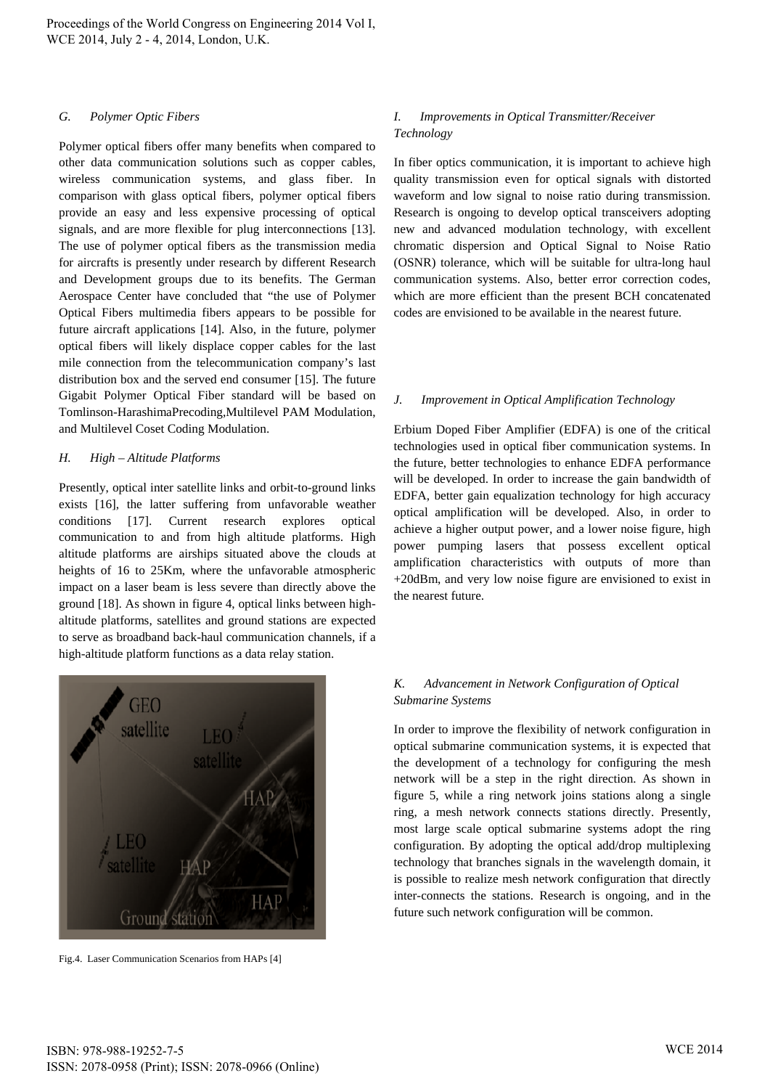#### *G. Polymer Optic Fibers*

Polymer optical fibers offer many benefits when compared to other data communication solutions such as copper cables, wireless communication systems, and glass fiber. In comparison with glass optical fibers, polymer optical fibers provide an easy and less expensive processing of optical signals, and are more flexible for plug interconnections [13]. The use of polymer optical fibers as the transmission media for aircrafts is presently under research by different Research and Development groups due to its benefits. The German Aerospace Center have concluded that "the use of Polymer Optical Fibers multimedia fibers appears to be possible for future aircraft applications [14]. Also, in the future, polymer optical fibers will likely displace copper cables for the last mile connection from the telecommunication company's last distribution box and the served end consumer [15]. The future Gigabit Polymer Optical Fiber standard will be based on Tomlinson-HarashimaPrecoding,Multilevel PAM Modulation, and Multilevel Coset Coding Modulation.

#### *H. High – Altitude Platforms*

Presently, optical inter satellite links and orbit-to-ground links exists [16], the latter suffering from unfavorable weather conditions [17]. Current research explores optical communication to and from high altitude platforms. High altitude platforms are airships situated above the clouds at heights of 16 to 25Km, where the unfavorable atmospheric impact on a laser beam is less severe than directly above the ground [18]. As shown in figure 4, optical links between highaltitude platforms, satellites and ground stations are expected to serve as broadband back-haul communication channels, if a high-altitude platform functions as a data relay station.



Fig.4. Laser Communication Scenarios from HAPs [4]

#### *I. Improvements in Optical Transmitter/Receiver Technology*

In fiber optics communication, it is important to achieve high quality transmission even for optical signals with distorted waveform and low signal to noise ratio during transmission. Research is ongoing to develop optical transceivers adopting new and advanced modulation technology, with excellent chromatic dispersion and Optical Signal to Noise Ratio (OSNR) tolerance, which will be suitable for ultra-long haul communication systems. Also, better error correction codes, which are more efficient than the present BCH concatenated codes are envisioned to be available in the nearest future.

#### *J. Improvement in Optical Amplification Technology*

Erbium Doped Fiber Amplifier (EDFA) is one of the critical technologies used in optical fiber communication systems. In the future, better technologies to enhance EDFA performance will be developed. In order to increase the gain bandwidth of EDFA, better gain equalization technology for high accuracy optical amplification will be developed. Also, in order to achieve a higher output power, and a lower noise figure, high power pumping lasers that possess excellent optical amplification characteristics with outputs of more than +20dBm, and very low noise figure are envisioned to exist in the nearest future.

# *K. Advancement in Network Configuration of Optical Submarine Systems*

In order to improve the flexibility of network configuration in optical submarine communication systems, it is expected that the development of a technology for configuring the mesh network will be a step in the right direction. As shown in figure 5, while a ring network joins stations along a single ring, a mesh network connects stations directly. Presently, most large scale optical submarine systems adopt the ring configuration. By adopting the optical add/drop multiplexing technology that branches signals in the wavelength domain, it is possible to realize mesh network configuration that directly inter-connects the stations. Research is ongoing, and in the future such network configuration will be common.